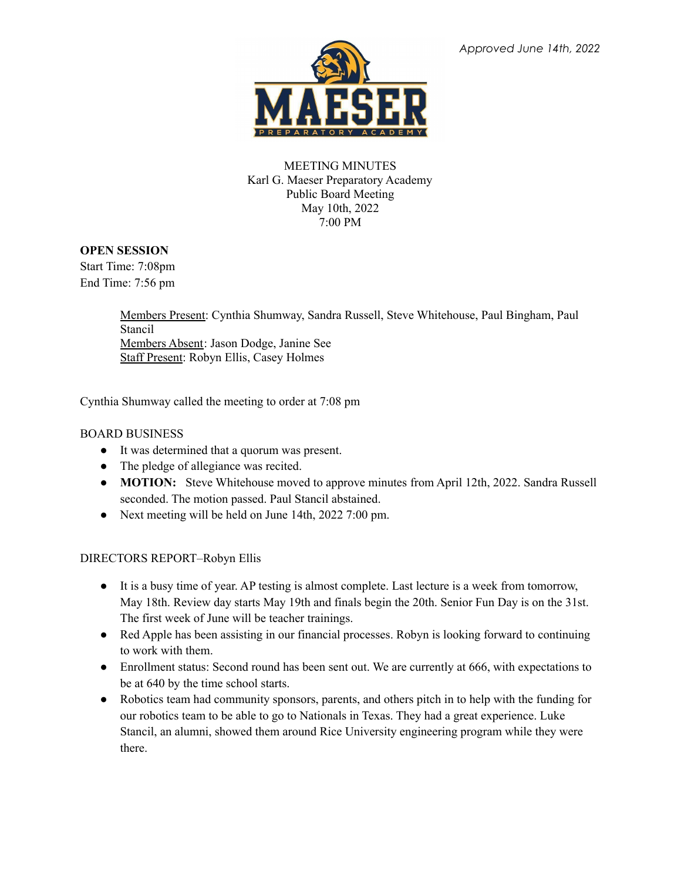

## MEETING MINUTES Karl G. Maeser Preparatory Academy Public Board Meeting May 10th, 2022 7:00 PM

# **OPEN SESSION**

Start Time: 7:08pm End Time: 7:56 pm

> Members Present: Cynthia Shumway, Sandra Russell, Steve Whitehouse, Paul Bingham, Paul Stancil Members Absent: Jason Dodge, Janine See Staff Present: Robyn Ellis, Casey Holmes

Cynthia Shumway called the meeting to order at 7:08 pm

# BOARD BUSINESS

- It was determined that a quorum was present.
- The pledge of allegiance was recited.
- **MOTION:** Steve Whitehouse moved to approve minutes from April 12th, 2022. Sandra Russell seconded. The motion passed. Paul Stancil abstained.
- Next meeting will be held on June 14th, 2022 7:00 pm.

# DIRECTORS REPORT–Robyn Ellis

- It is a busy time of year. AP testing is almost complete. Last lecture is a week from tomorrow, May 18th. Review day starts May 19th and finals begin the 20th. Senior Fun Day is on the 31st. The first week of June will be teacher trainings.
- Red Apple has been assisting in our financial processes. Robyn is looking forward to continuing to work with them.
- Enrollment status: Second round has been sent out. We are currently at 666, with expectations to be at 640 by the time school starts.
- Robotics team had community sponsors, parents, and others pitch in to help with the funding for our robotics team to be able to go to Nationals in Texas. They had a great experience. Luke Stancil, an alumni, showed them around Rice University engineering program while they were there.